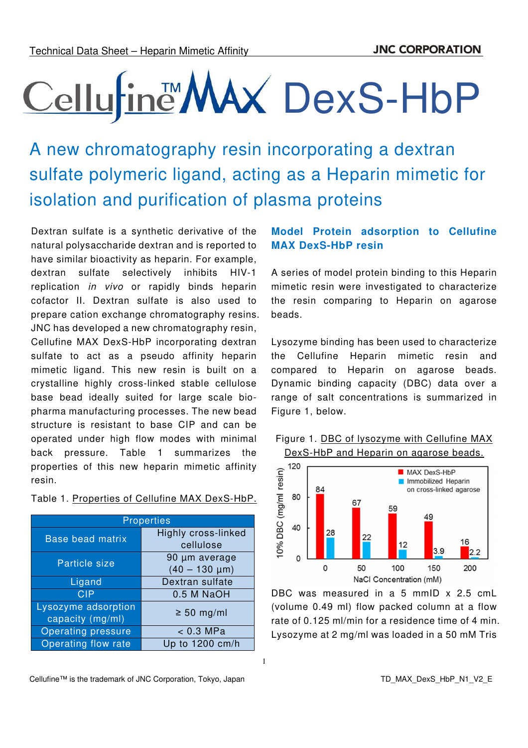# Cellufine MAX DexS-HbP

A new chromatography resin incorporating a dextran sulfate polymeric ligand, acting as a Heparin mimetic for isolation and purification of plasma proteins

Dextran sulfate is a synthetic derivative of the natural polysaccharide dextran and is reported to have similar bioactivity as heparin. For example, dextran sulfate selectively inhibits HIV-1 replication *in vivo* or rapidly binds heparin cofactor II. Dextran sulfate is also used to prepare cation exchange chromatography resins. JNC has developed a new chromatography resin, Cellufine MAX DexS-HbP incorporating dextran sulfate to act as a pseudo affinity heparin mimetic ligand. This new resin is built on a crystalline highly cross-linked stable cellulose base bead ideally suited for large scale biopharma manufacturing processes. The new bead structure is resistant to base CIP and can be operated under high flow modes with minimal back pressure. Table 1 summarizes the properties of this new heparin mimetic affinity resin.

#### Table 1. Properties of Cellufine MAX DexS-HbP.

| <b>Properties</b>         |                     |  |  |
|---------------------------|---------------------|--|--|
| <b>Base bead matrix</b>   | Highly cross-linked |  |  |
|                           | cellulose           |  |  |
| Particle size             | 90 µm average       |  |  |
|                           | $(40 - 130 \mu m)$  |  |  |
| Ligand                    | Dextran sulfate     |  |  |
| <b>CIP</b>                | 0.5 M NaOH          |  |  |
| Lysozyme adsorption       | $\geq 50$ mg/ml     |  |  |
| capacity (mg/ml)          |                     |  |  |
| <b>Operating pressure</b> | $< 0.3$ MPa         |  |  |
| Operating flow rate       | Up to 1200 cm/h     |  |  |

## **Model Protein adsorption to Cellufine MAX DexS-HbP resin**

A series of model protein binding to this Heparin mimetic resin were investigated to characterize the resin comparing to Heparin on agarose beads.

Lysozyme binding has been used to characterize the Cellufine Heparin mimetic resin and compared to Heparin on agarose beads. Dynamic binding capacity (DBC) data over a range of salt concentrations is summarized in Figure 1, below.





DBC was measured in a 5 mmID x 2.5 cmL (volume 0.49 ml) flow packed column at a flow rate of 0.125 ml/min for a residence time of 4 min. Lysozyme at 2 mg/ml was loaded in a 50 mM Tris

1

Cellufine™ is the trademark of JNC Corporation, Tokyo, Japan TC THE TO MAX\_DexS\_HbP\_N1\_V2\_E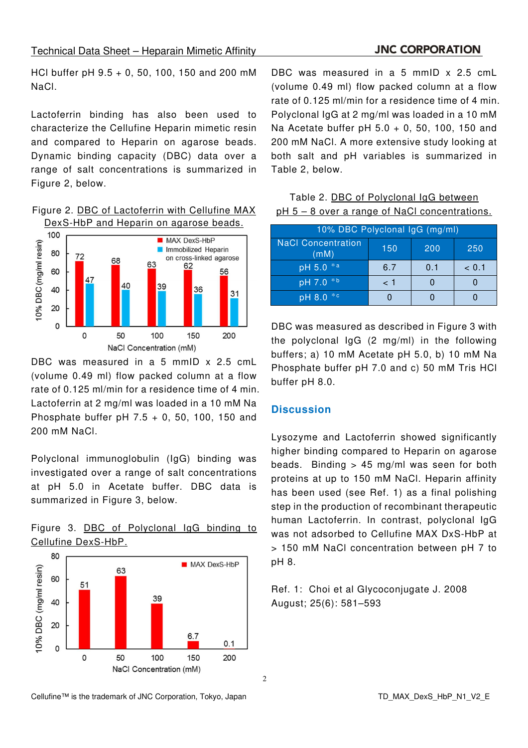#### Technical Data Sheet – Heparain Mimetic Affinity

#### **JNC CORPORATION**

HCl buffer pH 9.5 + 0, 50, 100, 150 and 200 mM NaCl.

Lactoferrin binding has also been used to characterize the Cellufine Heparin mimetic resin and compared to Heparin on agarose beads. Dynamic binding capacity (DBC) data over a range of salt concentrations is summarized in Figure 2, below.

Figure 2. DBC of Lactoferrin with Cellufine MAX DexS-HbP and Heparin on agarose beads.



DBC was measured in a 5 mmID x 2.5 cmL (volume 0.49 ml) flow packed column at a flow rate of 0.125 ml/min for a residence time of 4 min. Lactoferrin at 2 mg/ml was loaded in a 10 mM Na Phosphate buffer pH 7.5 + 0, 50, 100, 150 and 200 mM NaCl.

Polyclonal immunoglobulin (IgG) binding was investigated over a range of salt concentrations at pH 5.0 in Acetate buffer. DBC data is summarized in Figure 3, below.

|                     |  | Figure 3. DBC of Polyclonal IgG binding to |  |  |
|---------------------|--|--------------------------------------------|--|--|
| Cellufine DexS-HbP. |  |                                            |  |  |



DBC was measured in a 5 mmID x 2.5 cmL (volume 0.49 ml) flow packed column at a flow rate of 0.125 ml/min for a residence time of 4 min. Polyclonal IgG at 2 mg/ml was loaded in a 10 mM Na Acetate buffer pH 5.0 + 0, 50, 100, 150 and 200 mM NaCl. A more extensive study looking at both salt and pH variables is summarized in Table 2, below.

Table 2. DBC of Polyclonal IgG between pH 5 – 8 over a range of NaCl concentrations.

| 10% DBC Polyclonal IgG (mg/ml)    |     |     |        |
|-----------------------------------|-----|-----|--------|
| <b>NaCl Concentration</b><br>(mM) | 150 | 200 | 250    |
| pH 5.0 *a                         | 6.7 | 0.1 | ~< 0.1 |
| pH 7.0 *b                         | < 1 |     |        |
| $pH 8.0 *c$                       |     |     |        |

DBC was measured as described in Figure 3 with the polyclonal IgG (2 mg/ml) in the following buffers; a) 10 mM Acetate pH 5.0, b) 10 mM Na Phosphate buffer pH 7.0 and c) 50 mM Tris HCl buffer pH 8.0.

#### **Discussion**

Lysozyme and Lactoferrin showed significantly higher binding compared to Heparin on agarose beads. Binding  $> 45$  mg/ml was seen for both proteins at up to 150 mM NaCl. Heparin affinity has been used (see Ref. 1) as a final polishing step in the production of recombinant therapeutic human Lactoferrin. In contrast, polyclonal IgG was not adsorbed to Cellufine MAX DxS-HbP at > 150 mM NaCl concentration between pH 7 to pH 8.

Ref. 1: Choi et al Glycoconjugate J. 2008 August; 25(6): 581–593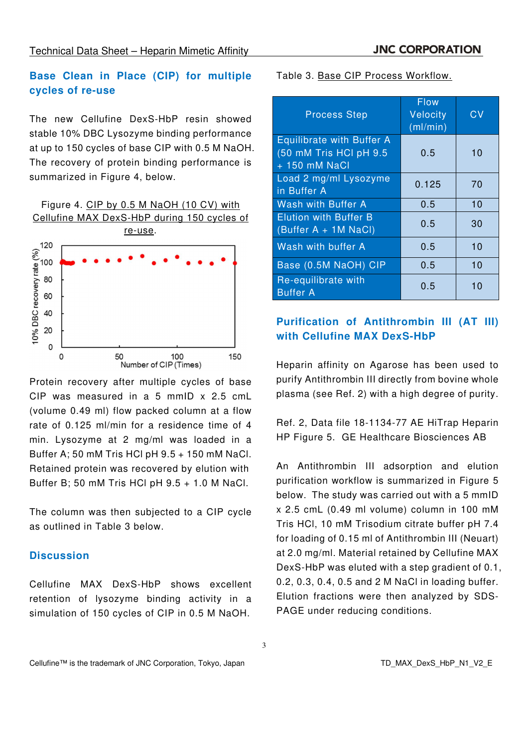## **Base Clean in Place (CIP) for multiple cycles of re-use**

The new Cellufine DexS-HbP resin showed stable 10% DBC Lysozyme binding performance at up to 150 cycles of base CIP with 0.5 M NaOH. The recovery of protein binding performance is summarized in Figure 4, below.

Figure 4. CIP by 0.5 M NaOH (10 CV) with Cellufine MAX DexS-HbP during 150 cycles of



Protein recovery after multiple cycles of base CIP was measured in a 5 mmID x 2.5 cmL (volume 0.49 ml) flow packed column at a flow rate of 0.125 ml/min for a residence time of 4 min. Lysozyme at 2 mg/ml was loaded in a Buffer A; 50 mM Tris HCl pH 9.5 + 150 mM NaCl. Retained protein was recovered by elution with Buffer B; 50 mM Tris HCl pH 9.5 + 1.0 M NaCl.

The column was then subjected to a CIP cycle as outlined in Table 3 below.

### **Discussion**

Cellufine MAX DexS-HbP shows excellent retention of lysozyme binding activity in a simulation of 150 cycles of CIP in 0.5 M NaOH.

Table 3. Base CIP Process Workflow.

| <b>Process Step</b>                                                         | <b>Flow</b><br>Velocity<br>(ml/min) | C٧ |
|-----------------------------------------------------------------------------|-------------------------------------|----|
| <b>Equilibrate with Buffer A</b><br>(50 mM Tris HCI pH 9.5<br>+ 150 mM NaCl | 0.5                                 | 10 |
| Load 2 mg/ml Lysozyme<br>in Buffer A                                        | 0.125                               | 70 |
| Wash with Buffer A                                                          | 0.5                                 | 10 |
| <b>Elution with Buffer B</b><br>(Buffer A + 1M NaCl)                        | 0.5                                 | 30 |
| Wash with buffer A                                                          | 0.5                                 | 10 |
| Base (0.5M NaOH) CIP                                                        | 0.5                                 | 10 |
| Re-equilibrate with<br><b>Buffer A</b>                                      | 0.5                                 | 10 |

## **Purification of Antithrombin III (AT III) with Cellufine MAX DexS-HbP**

Heparin affinity on Agarose has been used to purify Antithrombin III directly from bovine whole plasma (see Ref. 2) with a high degree of purity.

Ref. 2, Data file 18-1134-77 AE HiTrap Heparin HP Figure 5. GE Healthcare Biosciences AB

An Antithrombin III adsorption and elution purification workflow is summarized in Figure 5 below. The study was carried out with a 5 mmID x 2.5 cmL (0.49 ml volume) column in 100 mM Tris HCl, 10 mM Trisodium citrate buffer pH 7.4 for loading of 0.15 ml of Antithrombin III (Neuart) at 2.0 mg/ml. Material retained by Cellufine MAX DexS-HbP was eluted with a step gradient of 0.1, 0.2, 0.3, 0.4, 0.5 and 2 M NaCl in loading buffer. Elution fractions were then analyzed by SDS-PAGE under reducing conditions.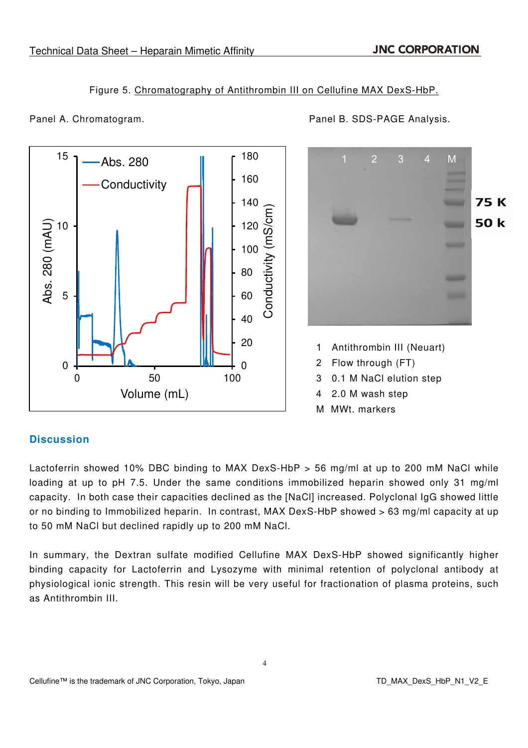Abs. 280

Figure 5. Chromatography of Antithrombin III on Cellufine MAX DexS-HbP.

180

15



Panel A. Chromatogram. **Panel B. SDS-PAGE Analysis.** 



- 1 Antithrombin III (Neuart)
- 2 Flow through (FT)
- 3 0.1 M NaCl elution step
- 4 2.0 M wash step
- M MWt. markers

## **Discussion**

Lactoferrin showed 10% DBC binding to MAX DexS-HbP > 56 mg/ml at up to 200 mM NaCl while loading at up to pH 7.5. Under the same conditions immobilized heparin showed only 31 mg/ml capacity. In both case their capacities declined as the [NaCl] increased. Polyclonal IgG showed little or no binding to Immobilized heparin. In contrast, MAX DexS-HbP showed > 63 mg/ml capacity at up to 50 mM NaCl but declined rapidly up to 200 mM NaCl.

In summary, the Dextran sulfate modified Cellufine MAX DexS-HbP showed significantly higher binding capacity for Lactoferrin and Lysozyme with minimal retention of polyclonal antibody at physiological ionic strength. This resin will be very useful for fractionation of plasma proteins, such as Antithrombin III.